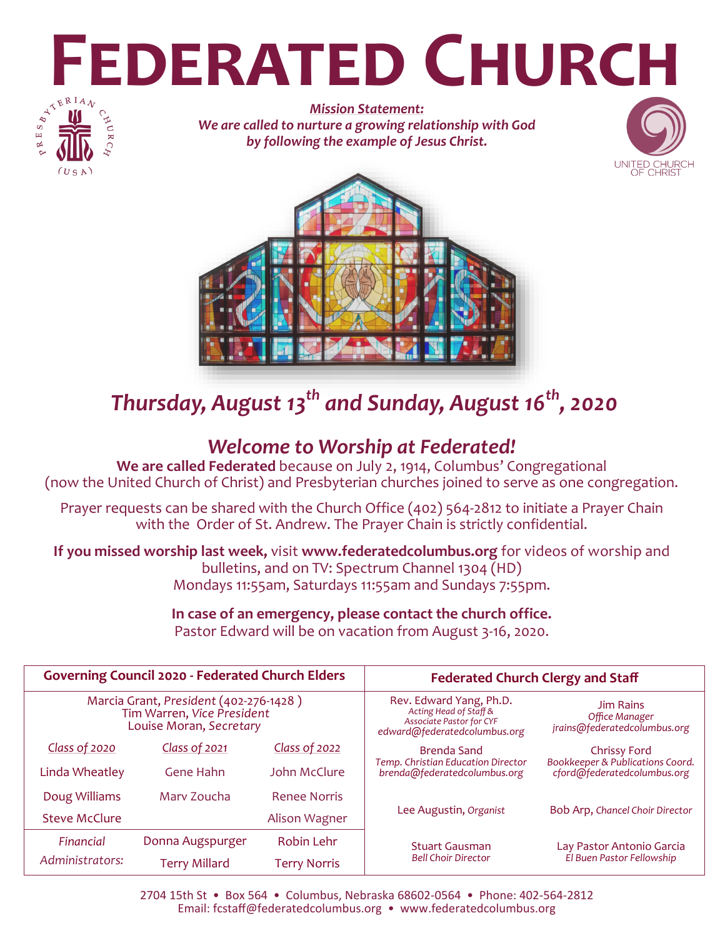# **FEDERATED CHURCH**



*Mission Statement: We are called to nurture a growing relationship with God by following the example of Jesus Christ.*





# *Thursday, August 13th and Sunday, August 16th, 2020*

## *Welcome to Worship at Federated!*

**We are called Federated** because on July 2, 1914, Columbus' Congregational (now the United Church of Christ) and Presbyterian churches joined to serve as one congregation.

Prayer requests can be shared with the Church Office (402) 564-2812 to initiate a Prayer Chain with the Order of St. Andrew. The Prayer Chain is strictly confidential.

**If you missed worship last week,** visit **www.federatedcolumbus.org** for videos of worship and bulletins, and on TV: Spectrum Channel 1304 (HD) Mondays 11:55am, Saturdays 11:55am and Sundays 7:55pm.

# **In case of an emergency, please contact the church office.**

Pastor Edward will be on vacation from August 3-16, 2020.

| <b>Governing Council 2020 - Federated Church Elders</b>                                         |                  |                     | <b>Federated Church Clergy and Staff</b>                                                                             |                                                                    |
|-------------------------------------------------------------------------------------------------|------------------|---------------------|----------------------------------------------------------------------------------------------------------------------|--------------------------------------------------------------------|
| Marcia Grant, President (402-276-1428)<br>Tim Warren, Vice President<br>Louise Moran, Secretary |                  |                     | Rev. Edward Yang, Ph.D.<br>Acting Head of Staff &<br><b>Associate Pastor for CYF</b><br>edward@federatedcolumbus.org | <b>Jim Rains</b><br>Office Manager<br>jrains@federatedcolumbus.org |
| Class of 2020                                                                                   | Class of 2021    | Class of 2022       | <b>Brenda Sand</b>                                                                                                   | <b>Chrissy Ford</b>                                                |
| Linda Wheatley                                                                                  | <b>Gene Hahn</b> | John McClure        | Temp. Christian Education Director<br>brenda@federatedcolumbus.org                                                   | Bookkeeper & Publications Coord.<br>cford@federatedcolumbus.org    |
| Doug Williams                                                                                   | Mary Zoucha      | <b>Renee Norris</b> |                                                                                                                      |                                                                    |
| <b>Steve McClure</b>                                                                            |                  | Alison Wagner       | Lee Augustin, Organist                                                                                               | Bob Arp, Chancel Choir Director                                    |
| Financial                                                                                       | Donna Augspurger | Robin Lehr          | <b>Stuart Gausman</b><br><b>Bell Choir Director</b>                                                                  | Lay Pastor Antonio Garcia                                          |
| Administrators:                                                                                 | Terry Millard    | <b>Terry Norris</b> |                                                                                                                      | El Buen Pastor Fellowship                                          |

2704 15th St • Box 564 • Columbus, Nebraska 68602-0564 • Phone: 402-564-2812 Email: fcstaff@federatedcolumbus.org • www.federatedcolumbus.org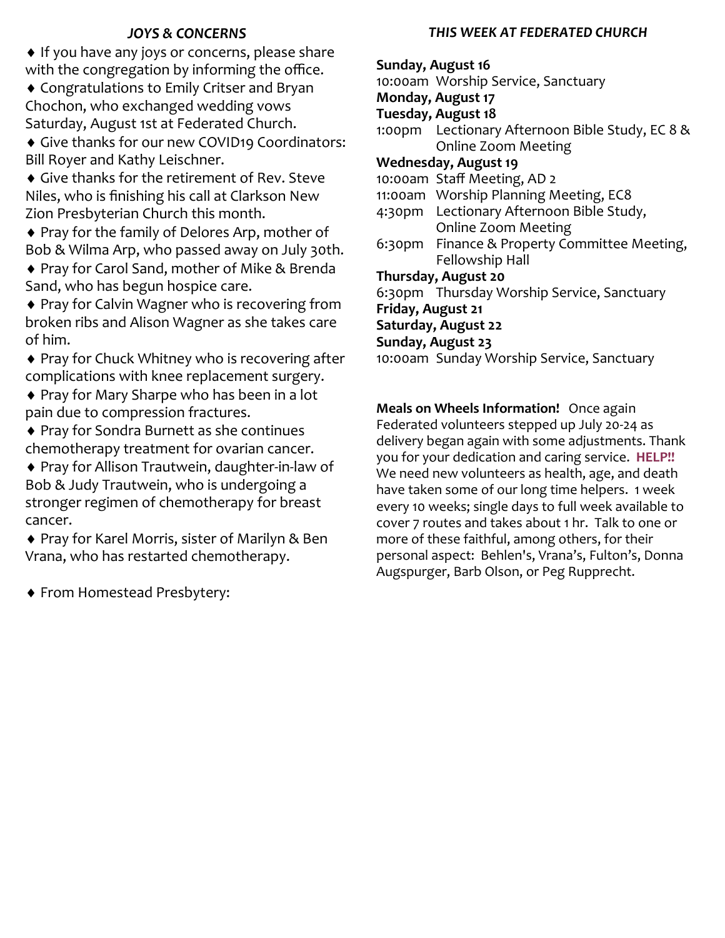#### *JOYS & CONCERNS*

◆ If you have any joys or concerns, please share with the congregation by informing the office.

 Congratulations to Emily Critser and Bryan Chochon, who exchanged wedding vows Saturday, August 1st at Federated Church.

 Give thanks for our new COVID19 Coordinators: Bill Royer and Kathy Leischner.

 Give thanks for the retirement of Rev. Steve Niles, who is finishing his call at Clarkson New Zion Presbyterian Church this month.

◆ Pray for the family of Delores Arp, mother of Bob & Wilma Arp, who passed away on July 30th.

◆ Pray for Carol Sand, mother of Mike & Brenda Sand, who has begun hospice care.

◆ Pray for Calvin Wagner who is recovering from broken ribs and Alison Wagner as she takes care of him.

◆ Pray for Chuck Whitney who is recovering after complications with knee replacement surgery.

◆ Pray for Mary Sharpe who has been in a lot pain due to compression fractures.

 Pray for Sondra Burnett as she continues chemotherapy treatment for ovarian cancer.

◆ Pray for Allison Trautwein, daughter-in-law of Bob & Judy Trautwein, who is undergoing a stronger regimen of chemotherapy for breast cancer.

◆ Pray for Karel Morris, sister of Marilyn & Ben Vrana, who has restarted chemotherapy.

From Homestead Presbytery:

#### *THIS WEEK AT FEDERATED CHURCH*

**Sunday, August 16** 10:00am Worship Service, Sanctuary **Monday, August 17 Tuesday, August 18** 1:00pm Lectionary Afternoon Bible Study, EC 8 & Online Zoom Meeting **Wednesday, August 19** 10:00am Staff Meeting, AD 2 11:00am Worship Planning Meeting, EC8 4:30pm Lectionary Afternoon Bible Study, Online Zoom Meeting 6:30pm Finance & Property Committee Meeting, Fellowship Hall **Thursday, August 20** 6:30pm Thursday Worship Service, Sanctuary **Friday, August 21 Saturday, August 22 Sunday, August 23** 10:00am Sunday Worship Service, Sanctuary

**Meals on Wheels Information!** Once again Federated volunteers stepped up July 20-24 as delivery began again with some adjustments. Thank you for your dedication and caring service. **HELP!!**  We need new volunteers as health, age, and death have taken some of our long time helpers. 1 week every 10 weeks; single days to full week available to cover 7 routes and takes about 1 hr. Talk to one or more of these faithful, among others, for their personal aspect: Behlen's, Vrana's, Fulton's, Donna Augspurger, Barb Olson, or Peg Rupprecht.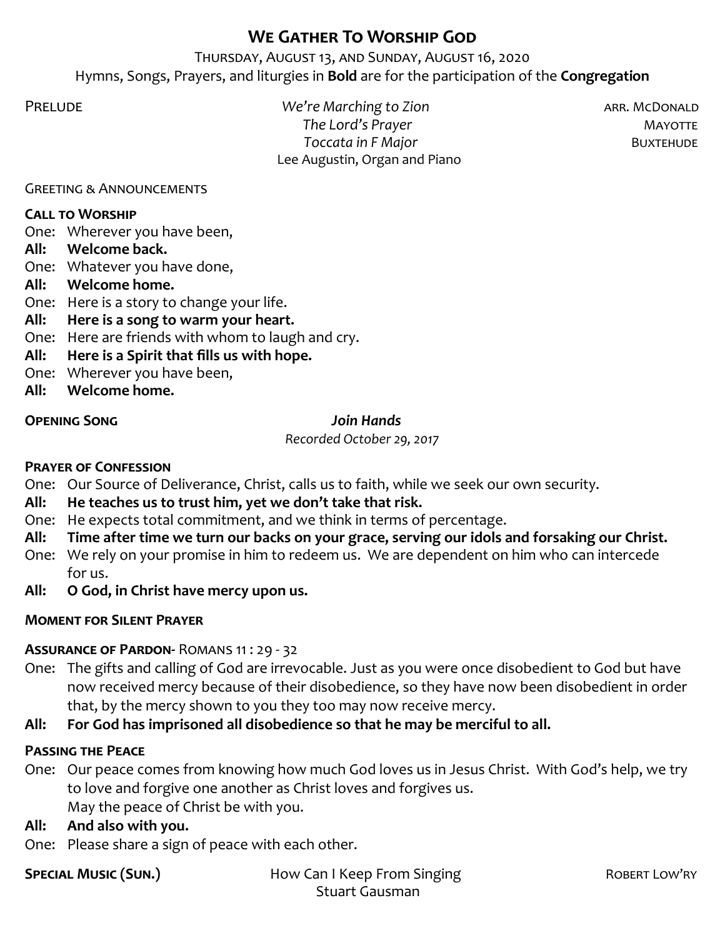## **We Gather To Worship God**

Thursday, August 13, and Sunday, August 16, 2020 Hymns, Songs, Prayers, and liturgies in **Bold** are for the participation of the **Congregation**

Prelude *We're Marching to Zion* arr. McDonald *The Lord's Prayer* **MAYOTTE** *Toccata in F Major* **BUXTEHUDE** Lee Augustin, Organ and Piano

Greeting & Announcements

#### **Call to Worship**

One: Wherever you have been,

**All: Welcome back.**

One: Whatever you have done,

**All: Welcome home.**

One: Here is a story to change your life.

- **All: Here is a song to warm your heart.**
- One: Here are friends with whom to laugh and cry.
- **All: Here is a Spirit that fills us with hope.**
- One: Wherever you have been,
- **All: Welcome home.**

#### **Opening Song** *Join Hands*

*Recorded October 29, 2017*

#### **Prayer of Confession**

One: Our Source of Deliverance, Christ, calls us to faith, while we seek our own security.

- **All: He teaches us to trust him, yet we don't take that risk.**
- One: He expects total commitment, and we think in terms of percentage.
- **All: Time after time we turn our backs on your grace, serving our idols and forsaking our Christ.**
- One: We rely on your promise in him to redeem us. We are dependent on him who can intercede for us.
- **All: O God, in Christ have mercy upon us.**

#### **Moment for Silent Prayer**

#### **Assurance of Pardon-** Romans 11 : 29 - 32

- One: The gifts and calling of God are irrevocable. Just as you were once disobedient to God but have now received mercy because of their disobedience, so they have now been disobedient in order that, by the mercy shown to you they too may now receive mercy.
- **All: For God has imprisoned all disobedience so that he may be merciful to all.**

#### **Passing the Peace**

One: Our peace comes from knowing how much God loves us in Jesus Christ. With God's help, we try to love and forgive one another as Christ loves and forgives us. May the peace of Christ be with you.

#### **All: And also with you.**

One: Please share a sign of peace with each other.

**SPECIAL MUSIC (SUN.) How Can I Keep From Singing ROBERT LOW'RY** Stuart Gausman